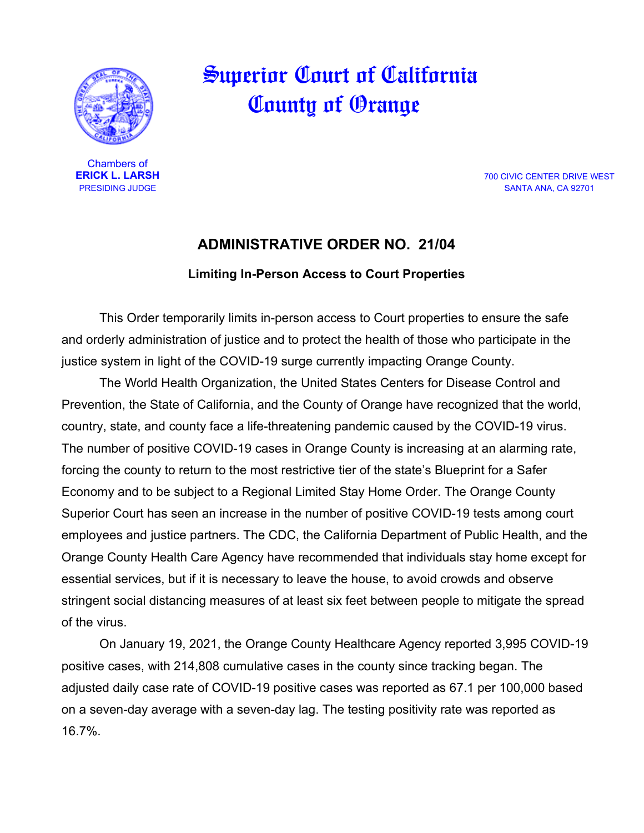

 Superior Court of California County of Orange

Chambers of<br>**ERICK L. LARSH** 

**ERICK L. LARSH** 700 CIVIC CENTER DRIVE WEST<br>PRESIDING JUDGE 700 CIVIC CENTER DRIVE WEST SANTA ANA, CA 92701

## **ADMINISTRATIVE ORDER NO. 21/04**

## **Limiting In-Person Access to Court Properties**

This Order temporarily limits in-person access to Court properties to ensure the safe and orderly administration of justice and to protect the health of those who participate in the justice system in light of the COVID-19 surge currently impacting Orange County.

The World Health Organization, the United States Centers for Disease Control and Prevention, the State of California, and the County of Orange have recognized that the world, country, state, and county face a life-threatening pandemic caused by the COVID-19 virus. The number of positive COVID-19 cases in Orange County is increasing at an alarming rate, forcing the county to return to the most restrictive tier of the state's Blueprint for a Safer Economy and to be subject to a Regional Limited Stay Home Order. The Orange County Superior Court has seen an increase in the number of positive COVID-19 tests among court employees and justice partners. The CDC, the California Department of Public Health, and the Orange County Health Care Agency have recommended that individuals stay home except for essential services, but if it is necessary to leave the house, to avoid crowds and observe stringent social distancing measures of at least six feet between people to mitigate the spread of the virus.

On January 19, 2021, the Orange County Healthcare Agency reported 3,995 COVID-19 positive cases, with 214,808 cumulative cases in the county since tracking began. The adjusted daily case rate of COVID-19 positive cases was reported as 67.1 per 100,000 based on a seven-day average with a seven-day lag. The testing positivity rate was reported as 16.7%.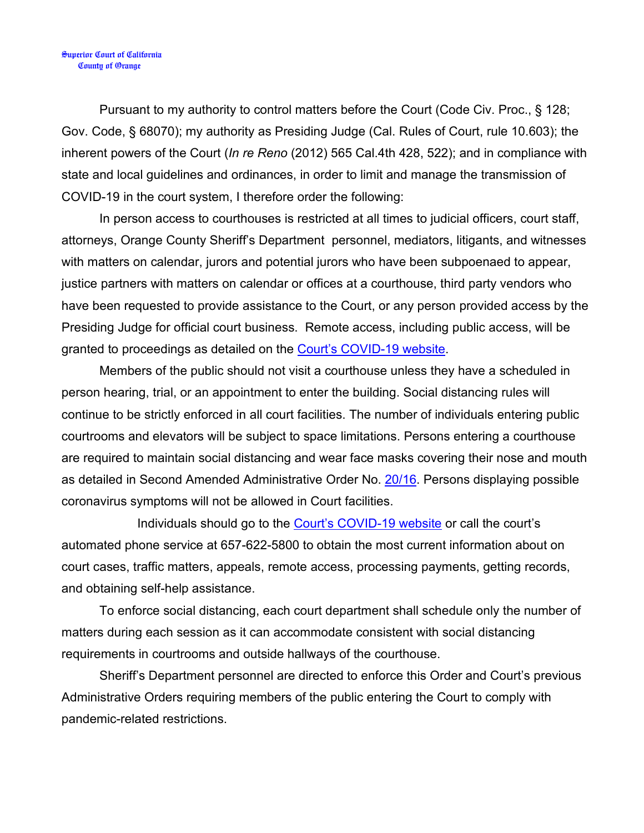Pursuant to my authority to control matters before the Court (Code Civ. Proc., § 128; Gov. Code, § 68070); my authority as Presiding Judge (Cal. Rules of Court, rule 10.603); the inherent powers of the Court (*In re Reno* (2012) 565 Cal.4th 428, 522); and in compliance with state and local guidelines and ordinances, in order to limit and manage the transmission of COVID-19 in the court system, I therefore order the following:

In person access to courthouses is restricted at all times to judicial officers, court staff, attorneys, Orange County Sheriff's Department personnel, mediators, litigants, and witnesses with matters on calendar, jurors and potential jurors who have been subpoenaed to appear, justice partners with matters on calendar or offices at a courthouse, third party vendors who have been requested to provide assistance to the Court, or any person provided access by the Presiding Judge for official court business. Remote access, including public access, will be granted to proceedings as detailed on the [Court's COVID-19 website.](https://www.occourts.org/media-relations/CoronaVirusUpdate.html)

Members of the public should not visit a courthouse unless they have a scheduled in person hearing, trial, or an appointment to enter the building. Social distancing rules will continue to be strictly enforced in all court facilities. The number of individuals entering public courtrooms and elevators will be subject to space limitations. Persons entering a courthouse are required to maintain social distancing and wear face masks covering their nose and mouth as detailed in Second Amended Administrative Order No. [20/16.](https://www.occourts.org/media-relations/covid/20_16_Second_Amended_Administrative_Order_Required_Safety_Measures_and_Face_Coverings_in_Court.pdf) Persons displaying possible coronavirus symptoms will not be allowed in Court facilities.

Individuals should go to the **Court's COVID-19 website** or call the court's automated phone service at 657-622-5800 to obtain the most current information about on court cases, traffic matters, appeals, remote access, processing payments, getting records, and obtaining self-help assistance.

To enforce social distancing, each court department shall schedule only the number of matters during each session as it can accommodate consistent with social distancing requirements in courtrooms and outside hallways of the courthouse.

Sheriff's Department personnel are directed to enforce this Order and Court's previous Administrative Orders requiring members of the public entering the Court to comply with pandemic-related restrictions.